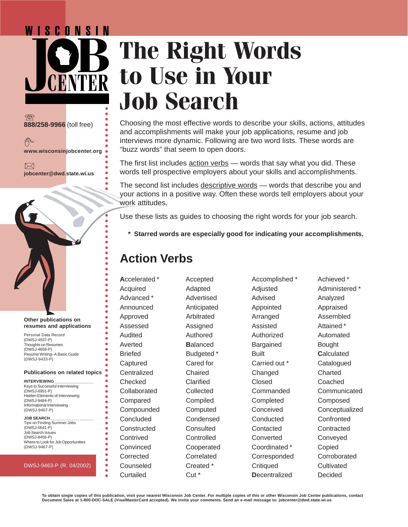# WISCONSIN **The Right Words to Use in Your Job Search** ○○○○○○○○○○○○○○○○○○○○○○○○○○○○○○○○○○○○○○○○○○○○

 $7$ **888/258-9966** (toll free)

币 **www.wisconsinjobcenter.org**

 $\boxtimes$ **jobcenter@dwd.state.wi.us**



### **Other publications on resumes and applications**

Personal Data Record (DWSJ-4937-P) Thoughts on Resumes (DWSJ-4658-P) Resume Writing–A Basic Guide (DWSJ-9433-P)

### **Publications on related topics**

**INTERVIEWING \_\_\_\_\_\_\_\_\_\_\_\_\_\_\_\_\_** Keys to Successful Interviewing (DWSJ-6951-P) Hidden Elements of Interviewing (DWSJ-9484-P) Informational Interviewing (DWSJ-9407-P)

### **JOB SEARCH \_\_\_\_\_\_\_\_\_\_\_\_\_\_\_\_\_\_\_**

Tips on Finding Summer Jobs (DWSJ-5641-P) Job Search Issues (DWSJ-8456-P) Where to Look for Job Opportunities (DWSJ-9467-P)

### DWSJ-9463-P (R. 04/2002)

Choosing the most effective words to describe your skills, actions, attitudes and accomplishments will make your job applications, resume and job interviews more dynamic. Following are two word lists. These words are "buzz words" that seem to open doors.

The first list includes action verbs — words that say what you did. These words tell prospective employers about your skills and accomplishments.

The second list includes descriptive words — words that describe you and your actions in a positive way. Often these words tell employers about your work attitudes.

Use these lists as guides to choosing the right words for your job search.

**\* Starred words are especially good for indicating your accomplishments.**

# **Action Verbs**

Advanced \* Advertised Advised Analyzed Announced Anticipated Appointed Appraised Approved Arbitrated Arranged Assembled Assessed Assigned Assisted Attained \* Audited Authored Authorized Automated Averted **Balanced** Bargained Bought Briefed **Budgeted \*** Built **Calculated** Captured Cared for Carried out \* Catalogued Centralized Chaired Changed Charted Checked Clarified Closed Coached Compared Compiled Completed Composed Concluded Condensed Conducted Confronted Constructed Consulted Contacted Contracted Contrived Controlled Converted Conveyed Convinced Cooperated Coordinated \* Copied Corrected Correlated Corresponded Corroborated Counseled Created \* Critiqued Cultivated Curtailed Cut \* **D**ecentralized Decided

○○○○○○○○○○○○○○○○○○○○○○○○○○

 $\bullet$  $\bullet$  $\bullet$  $\bullet$ 

 $\bullet$ ŏ

 $\bullet$  $\bullet$ 

Accelerated \* Accepted Accomplished \* Achieved \*

Acquired Adapted Adjusted Administered \* Collaborated Collected Commanded Communicated Compounded Computed Conceived Conceptualized

**To obtain single copies of this publication, visit your nearest Wisconsin Job Center. For multiple copies of this or other Wisconsin Job Center publications, contact Document Sales at 1-800-DOC-SALE (Visa/MasterCard accepted). We invite your comments. Send an e-mail message to: jobcenter@dwd.state.wi.us**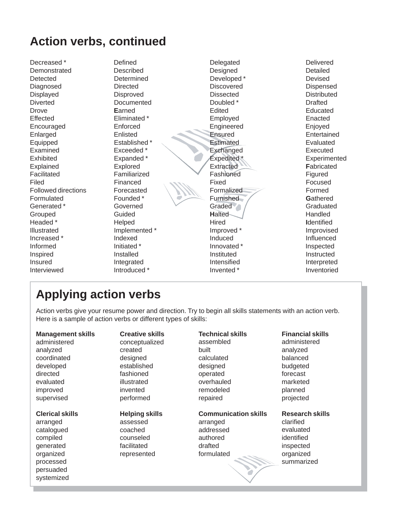# **Action verbs, continued**

Decreased \* The Defined Contract Delegated Delivered Delivered Demonstrated Described Designed Detailed Detected Determined Developed \* Devised Devised Diagnosed Directed Discovered Dispensed Displayed Disproved Dissected Distributed Diverted Documented Doubled \* Doubled Drafted Drove **E**arned Edited Educated Effected Eliminated \* Employed Enacted Encouraged Enforced Engineered Enjoyed Enlarged Enlisted Enlarged Entertained Entertained Entertained Entertained Entertained Equipped Established \* Estimated Evaluated Evaluated Evaluated Examined Exceeded \* Exchanged Executed Exhibited Expanded \* Expanded \* Expedited \* Experimented Explained Explored Extracted **F**abricated Facilitated Familiarized Fashioned Figured Filed Financed Financed Focused Focused Focused Focused Focused Followed directions Forecasted **Followed directions** Forecasted **Formalized** Formed Formulated **Founded \*** Furnished **Gathered Gathered** Generated \* Governed Constanting Graduated Graduated Graduated Graduated Graduated Graduated Graduated Graduated Grouped Guided **H**alted Handled Headed \* Helped Hired **I**dentified Illustrated **Implemented \*** Improved \* Improved \* Improvised Increased \* The Indexed The Induced Induced Influenced **Influenced Influenced** Informed Thitiated \* The Innovated \* Innovated \* Inspected Inspired Installed Instituted Instructed Insured Integrated Intensified Interpreted Interviewed **Introduced \*** Introduced \* Inventoried http://www.fileson.com/inventoried inventoried

# **Applying action verbs**

Action verbs give your resume power and direction. Try to begin all skills statements with an action verb. Here is a sample of action verbs or different types of skills:

| <b>Management skills</b> | <b>Creative skills</b> | <b>Technical skills</b>     | <b>Financial skills</b> |
|--------------------------|------------------------|-----------------------------|-------------------------|
| administered             | conceptualized         | assembled                   | administered            |
| analyzed                 | created                | built                       | analyzed                |
| coordinated              | designed               | calculated                  | balanced                |
| developed                | established            | designed                    | budgeted                |
| directed                 | fashioned              | operated                    | forecast                |
| evaluated                | illustrated            | overhauled                  | marketed                |
| improved                 | invented               | remodeled                   | planned                 |
| supervised               | performed              | repaired                    | projected               |
| <b>Clerical skills</b>   | <b>Helping skills</b>  | <b>Communication skills</b> | <b>Research skills</b>  |
| arranged                 | assessed               | arranged                    | clarified               |
| catalogued               | coached                | addressed                   | evaluated               |
| compiled                 | counseled              | authored                    | identified              |
| generated                | facilitated            | drafted                     | inspected               |
| organized                | represented            | formulated                  | organized               |
| processed                |                        |                             | summarized              |
| persuaded                |                        |                             |                         |
| systemized               |                        |                             |                         |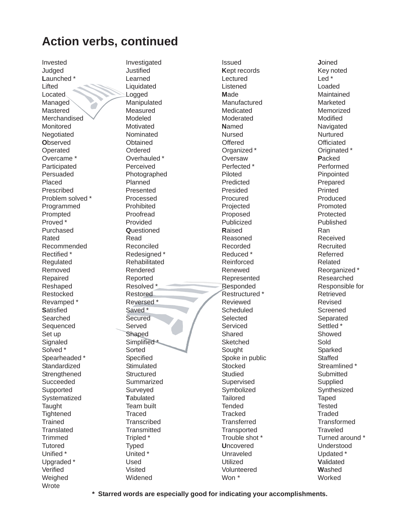### **Action verbs, continued**

Invested Judaed Launched\* Lifted Located Managed Mastered Merchandised Monitored Negotiated **Observed** Operated Overcame \* Participated Persuaded Placed Prescribed Problem solved \* Programmed Prompted Proved<sup>\*</sup> Purchased Rated Recommended Rectified \* Regulated Removed Repaired Reshaped Restocked Revamped\* **Satisfied** Searched Sequenced Set up Signaled Solved<sup>\*</sup> Spearheaded\* Standardized Strengthened Succeeded Supported Systematized Taught Tightened **Trained** Translated **Trimmed Tutored** Unified \* Upgraded \* Verified Weighed Wrote

Investigated Justified Learned Liquidated Logged Manipulated Measured Modeled Motivated Nominated Obtained Ordered Overhauled\* Perceived Photographed Planned Presented Processed Prohibited Proofread Provided Questioned Read Reconciled Redesianed\* Rehabilitated Rendered Reported Resolved\* Restored Reversed\* Saved\* Secured Served Shaped Simplified\* Sorted Specified Stimulated Structured Summarized Surveved Tabulated Team built Traced Transcribed Transmitted Tripled \* **Typed** United<sup>\*</sup> Used Visited Widened

**Issued** Kept records Lectured Listened Made Manufactured Medicated Moderated Named **Nursed** Offered Organized\* Oversaw Perfected\* Piloted Predicted Presided Procured Projected Proposed Publicized Raised Reasoned Recorded Reduced \* Reinforced Renewed Represented Responded Restructured \* Reviewed Scheduled Selected Serviced Shared Sketched Sought Spoke in public Stocked **Studied** Supervised Svmbolized **Tailored** Tended **Tracked Transferred** Transported Trouble shot \* **Uncovered** Unraveled Utilized Volunteered Won \*

Joined Kev noted  $Led*$ Loaded Maintained Marketed Memorized Modified Navigated Nurtured Officiated Originated \* Packed Performed Pinpointed Prepared Printed Produced Promoted Protected Published Ran Received Recruited Referred Related Reorganized\* Researched Responsible for Retrieved Revised Screened Separated Settled<sup>\*</sup> Showed Sold Sparked **Staffed** Streamlined \* Submitted Supplied Synthesized Taped **Tested** Traded **Transformed Traveled** Turned around \* **Understood** Updated \* Validated Washed Worked

\* Starred words are especially good for indicating your accomplishments.